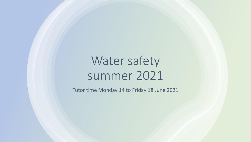# Water safety summer 2021

Tutor time Monday 14 to Friday 18 June 2021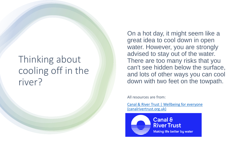#### Thinking about cooling off in the river?

On a hot day, it might seem like a great idea to cool down in open water. However, you are strongly advised to stay out of the water. There are too many risks that you can't see hidden below the surface, and lots of other ways you can cool down with two feet on the towpath.

All resources are from:

[Canal & River Trust | Wellbeing for everyone](https://canalrivertrust.org.uk/)  (canalrivertrust.org.uk)

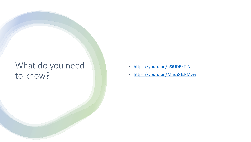#### What do you need to know?

- <https://youtu.be/nSiUDBkTsNI>
- <https://youtu.be/Mhxa8TsRMvw>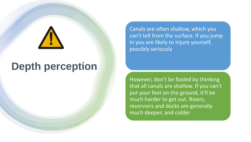## **Depth perception**

Canals are often shallow, which you can't tell from the surface. If you jump in you are likely to injure yourself, possibly seriously

However, don't be fooled by thinking that all canals are shallow. If you can't put your feet on the ground, it'll be much harder to get out. Rivers, reservoirs and docks are generally much deeper, and colder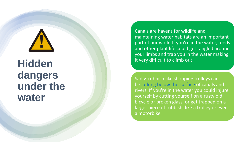

### **Hidden dangers under the water**

Canals are havens for wildlife and maintaining water habitats are an important part of our work. If you're in the water, reeds and other plant life could get tangled around your limbs and trap you in the water making it very difficult to climb out

Sadly, rubbish like shopping trolleys can be [lurking below the surface](https://canalrivertrust.org.uk/news-and-views/features/plastic-and-litter-in-our-canals/creating-cleaner-canals) of canals and rivers. If you're in the water you could injure yourself by cutting yourself on a rusty old bicycle or broken glass, or get trapped on a larger piece of rubbish, like a trolley or even a motorbike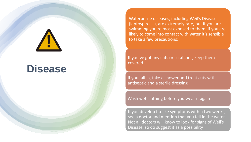#### **Disease**

Waterborne diseases, including Weil's Disease (leptospirosis), are extremely rare, but if you are swimming you're most exposed to them. If you are likely to come into contact with water it's sensible to take a few precautions:

If you've got any cuts or scratches, keep them covered

If you fall in, take a shower and treat cuts with antiseptic and a sterile dressing

Wash wet clothing before you wear it again

If you develop flu-like symptoms within two weeks, see a doctor and mention that you fell in the water. Not all doctors will know to look for signs of Weil's Disease, so do suggest it as a possibility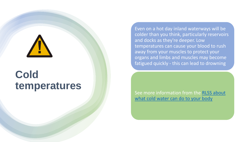### **Cold temperatures**

Even on a hot day inland waterways will be colder than you think, particularly reservoirs and docks as they're deeper. Low temperatures can cause your blood to rush away from your muscles to protect your organs and limbs and muscles may become fatigued quickly - this can lead to drowning

See more information from the RLSS about what [cold water can do to your body](http://www.rlss.org.uk/water-safety/water-safety/cold-water-shock/)